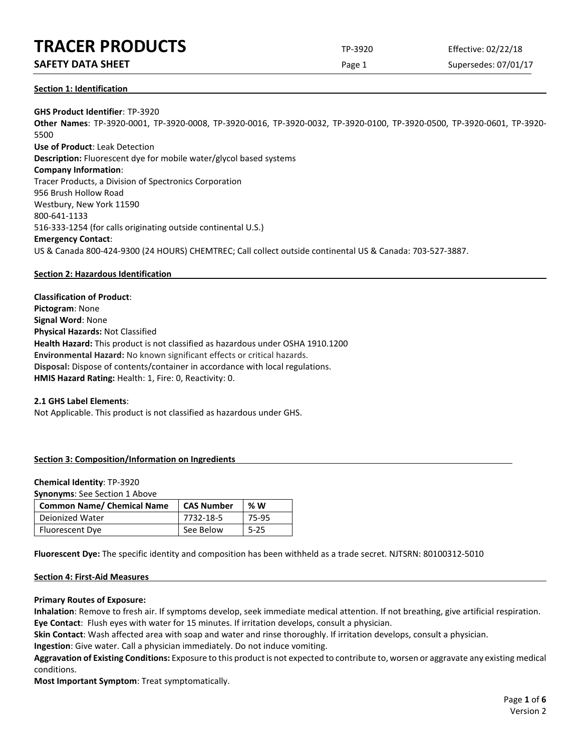## **TRACER PRODUCTS** TP-3920 Effective: 02/22/18

## **SAFETY DATA SHEET** SUPERFOUR CONSUMING THE Page 1 Supersedes: 07/01/17

## **Section 1: Identification**

**GHS Product Identifier**: TP-3920 **Other Names**: TP-3920-0001, TP-3920-0008, TP-3920-0016, TP-3920-0032, TP-3920-0100, TP-3920-0500, TP-3920-0601, TP-3920- 5500 **Use of Product**: Leak Detection **Description:** Fluorescent dye for mobile water/glycol based systems **Company Information**: Tracer Products, a Division of Spectronics Corporation 956 Brush Hollow Road Westbury, New York 11590 800-641-1133 516-333-1254 (for calls originating outside continental U.S.) **Emergency Contact**: US & Canada 800-424-9300 (24 HOURS) CHEMTREC; Call collect outside continental US & Canada: 703-527-3887.

## **Section 2: Hazardous Identification**

**Classification of Product**: **Pictogram**: None **Signal Word**: None **Physical Hazards:** Not Classified **Health Hazard:** This product is not classified as hazardous under OSHA 1910.1200 **Environmental Hazard:** No known significant effects or critical hazards. **Disposal:** Dispose of contents/container in accordance with local regulations. **HMIS Hazard Rating:** Health: 1, Fire: 0, Reactivity: 0.

## **2.1 GHS Label Elements**:

Not Applicable. This product is not classified as hazardous under GHS.

## **Section 3: Composition/Information on Ingredients**

#### **Chemical Identity**: TP-3920

**Synonyms**: See Section 1 Above

| <b>Common Name/ Chemical Name</b> | <b>CAS Number</b> | %W       |
|-----------------------------------|-------------------|----------|
| Deionized Water                   | 7732-18-5         | 75-95    |
| Fluorescent Dye                   | See Below         | $5 - 25$ |

**Fluorescent Dye:** The specific identity and composition has been withheld as a trade secret. NJTSRN: 80100312-5010

## **Section 4: First-Aid Measures**

#### **Primary Routes of Exposure:**

**Inhalation**: Remove to fresh air. If symptoms develop, seek immediate medical attention. If not breathing, give artificial respiration. **Eye Contact**: Flush eyes with water for 15 minutes. If irritation develops, consult a physician.

**Skin Contact**: Wash affected area with soap and water and rinse thoroughly. If irritation develops, consult a physician.

**Ingestion**: Give water. Call a physician immediately. Do not induce vomiting.

**Aggravation of Existing Conditions:** Exposure to this product is not expected to contribute to, worsen or aggravate any existing medical conditions.

**Most Important Symptom**: Treat symptomatically.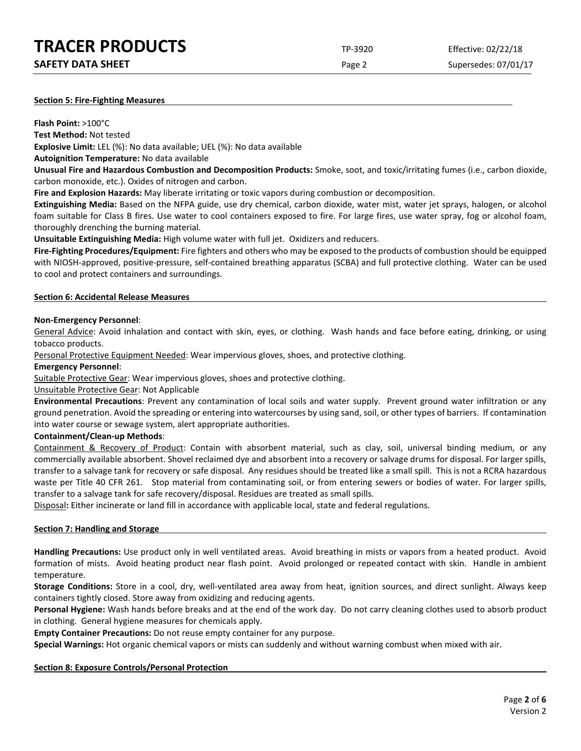| <b>TRACER PRODUCTS</b>   | TP-3920 | Effective: 02/22/18  |
|--------------------------|---------|----------------------|
| <b>SAFETY DATA SHEET</b> | Page 2  | Supersedes: 07/01/17 |

#### **Section 5: Fire-Fighting Measures**

**Flash Point:** >100°C

**Test Method:** Not tested

**Explosive Limit:** LEL (%): No data available; UEL (%): No data available

**Autoignition Temperature:** No data available

**Unusual Fire and Hazardous Combustion and Decomposition Products:** Smoke, soot, and toxic/irritating fumes (i.e., carbon dioxide, carbon monoxide, etc.). Oxides of nitrogen and carbon.

**Fire and Explosion Hazards:** May liberate irritating or toxic vapors during combustion or decomposition.

**Extinguishing Media:** Based on the NFPA guide, use dry chemical, carbon dioxide, water mist, water jet sprays, halogen, or alcohol foam suitable for Class B fires. Use water to cool containers exposed to fire. For large fires, use water spray, fog or alcohol foam, thoroughly drenching the burning material.

**Unsuitable Extinguishing Media:** High volume water with full jet. Oxidizers and reducers.

**Fire-Fighting Procedures/Equipment:** Fire fighters and others who may be exposed to the products of combustion should be equipped with NIOSH-approved, positive-pressure, self-contained breathing apparatus (SCBA) and full protective clothing. Water can be used to cool and protect containers and surroundings.

#### **Section 6: Accidental Release Measures**

#### **Non-Emergency Personnel**:

General Advice: Avoid inhalation and contact with skin, eyes, or clothing. Wash hands and face before eating, drinking, or using tobacco products.

Personal Protective Equipment Needed: Wear impervious gloves, shoes, and protective clothing.

#### **Emergency Personnel**:

Suitable Protective Gear: Wear impervious gloves, shoes and protective clothing.

Unsuitable Protective Gear: Not Applicable

**Environmental Precautions**: Prevent any contamination of local soils and water supply. Prevent ground water infiltration or any ground penetration. Avoid the spreading or entering into watercourses by using sand, soil, or other types of barriers. If contamination into water course or sewage system, alert appropriate authorities.

#### **Containment/Clean-up Methods**:

Containment & Recovery of Product: Contain with absorbent material, such as clay, soil, universal binding medium, or any commercially available absorbent. Shovel reclaimed dye and absorbent into a recovery or salvage drums for disposal. For larger spills, transfer to a salvage tank for recovery or safe disposal. Any residues should be treated like a small spill. This is not a RCRA hazardous waste per Title 40 CFR 261. Stop material from contaminating soil, or from entering sewers or bodies of water. For larger spills, transfer to a salvage tank for safe recovery/disposal. Residues are treated as small spills.

Disposal**:** Either incinerate or land fill in accordance with applicable local, state and federal regulations.

#### **Section 7: Handling and Storage**

**Handling Precautions:** Use product only in well ventilated areas. Avoid breathing in mists or vapors from a heated product. Avoid formation of mists. Avoid heating product near flash point. Avoid prolonged or repeated contact with skin. Handle in ambient temperature.

**Storage Conditions:** Store in a cool, dry, well-ventilated area away from heat, ignition sources, and direct sunlight. Always keep containers tightly closed. Store away from oxidizing and reducing agents.

**Personal Hygiene:** Wash hands before breaks and at the end of the work day. Do not carry cleaning clothes used to absorb product in clothing. General hygiene measures for chemicals apply.

**Empty Container Precautions:** Do not reuse empty container for any purpose.

**Special Warnings:** Hot organic chemical vapors or mists can suddenly and without warning combust when mixed with air.

#### **Section 8: Exposure Controls/Personal Protection**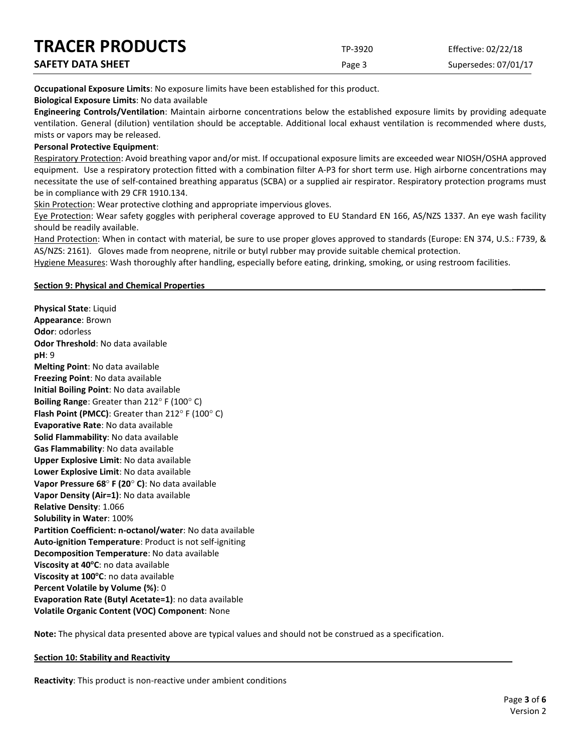| <b>TRACER PRODUCTS</b>   | TP-3920 | Effective: 02/22/18  |
|--------------------------|---------|----------------------|
| <b>SAFETY DATA SHEET</b> | Page 3  | Supersedes: 07/01/17 |

**Occupational Exposure Limits**: No exposure limits have been established for this product.

**Biological Exposure Limits**: No data available

**Engineering Controls/Ventilation**: Maintain airborne concentrations below the established exposure limits by providing adequate ventilation. General (dilution) ventilation should be acceptable. Additional local exhaust ventilation is recommended where dusts, mists or vapors may be released.

## **Personal Protective Equipment**:

Respiratory Protection: Avoid breathing vapor and/or mist. If occupational exposure limits are exceeded wear NIOSH/OSHA approved equipment. Use a respiratory protection fitted with a combination filter A-P3 for short term use. High airborne concentrations may necessitate the use of self-contained breathing apparatus (SCBA) or a supplied air respirator. Respiratory protection programs must be in compliance with 29 CFR 1910.134.

Skin Protection: Wear protective clothing and appropriate impervious gloves.

Eye Protection: Wear safety goggles with peripheral coverage approved to EU Standard EN 166, AS/NZS 1337. An eye wash facility should be readily available.

Hand Protection: When in contact with material, be sure to use proper gloves approved to standards (Europe: EN 374, U.S.: F739, & AS/NZS: 2161). Gloves made from neoprene, nitrile or butyl rubber may provide suitable chemical protection.

Hygiene Measures: Wash thoroughly after handling, especially before eating, drinking, smoking, or using restroom facilities.

## **Section 9: Physical and Chemical Properties \_\_\_\_\_\_\_**

**Physical State**: Liquid **Appearance**: Brown **Odor**: odorless **Odor Threshold**: No data available **pH**: 9 **Melting Point**: No data available **Freezing Point**: No data available **Initial Boiling Point**: No data available **Boiling Range**: Greater than 212° F (100° C) **Flash Point (PMCC)**: Greater than 212° F (100° C) **Evaporative Rate**: No data available **Solid Flammability**: No data available **Gas Flammability**: No data available **Upper Explosive Limit**: No data available **Lower Explosive Limit**: No data available **Vapor Pressure 68**° **F (20**° **C)**: No data available **Vapor Density (Air=1)**: No data available **Relative Density**: 1.066 **Solubility in Water**: 100% **Partition Coefficient: n-octanol/water**: No data available **Auto-ignition Temperature**: Product is not self-igniting **Decomposition Temperature**: No data available **Viscosity at 40°C**: no data available **Viscosity at 100°C**: no data available **Percent Volatile by Volume (%)**: 0 **Evaporation Rate (Butyl Acetate=1)**: no data available **Volatile Organic Content (VOC) Component**: None

**Note:** The physical data presented above are typical values and should not be construed as a specification.

#### **Section 10: Stability and Reactivity**

**Reactivity**: This product is non-reactive under ambient conditions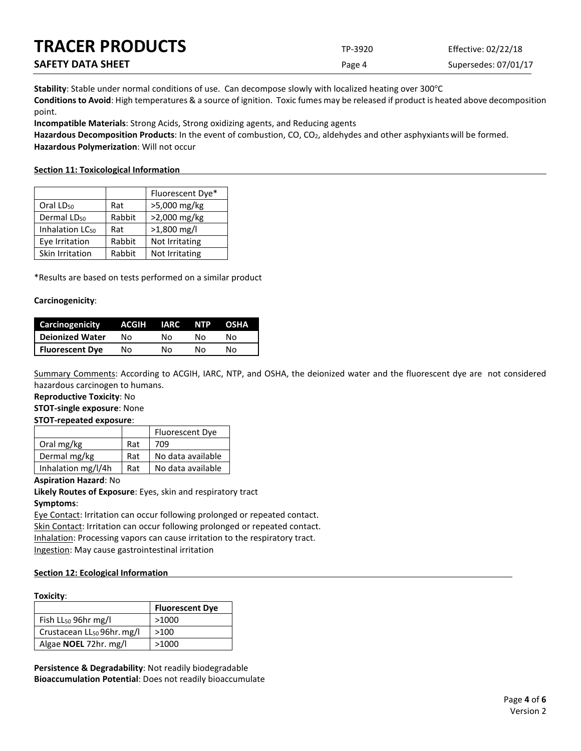| <b>TRACER PRODUCTS</b>   | TP-3920 | Effective: 02/22/18  |
|--------------------------|---------|----------------------|
| <b>SAFETY DATA SHEET</b> | Page 4  | Supersedes: 07/01/17 |

Stability: Stable under normal conditions of use. Can decompose slowly with localized heating over 300°C **Conditions to Avoid**: High temperatures & a source of ignition. Toxic fumes may be released if product is heated above decomposition point.

**Incompatible Materials**: Strong Acids, Strong oxidizing agents, and Reducing agents

Hazardous Decomposition Products: In the event of combustion, CO, CO<sub>2</sub>, aldehydes and other asphyxiants will be formed. **Hazardous Polymerization**: Will not occur

## **Section 11: Toxicological Information**

|                             |        | Fluorescent Dye* |
|-----------------------------|--------|------------------|
| Oral LD <sub>50</sub>       | Rat    | >5,000 mg/kg     |
| Dermal LD <sub>50</sub>     | Rabbit | >2,000 mg/kg     |
| Inhalation LC <sub>50</sub> | Rat    | $>1,800$ mg/l    |
| Eye Irritation              | Rabbit | Not Irritating   |
| Skin Irritation             | Rabbit | Not Irritating   |

\*Results are based on tests performed on a similar product

## **Carcinogenicity**:

| Carcinogenicity        | ACGIH | <b>IARC</b> | <b>NTP</b> | <b>OSHA</b> |
|------------------------|-------|-------------|------------|-------------|
| Deionized Water        | N٥    | N٥          | N٥         | N٥          |
| <b>Fluorescent Dye</b> | Nο    | N٥          | N٥         | N٥          |

Summary Comments: According to ACGIH, IARC, NTP, and OSHA, the deionized water and the fluorescent dye are not considered hazardous carcinogen to humans.

#### **Reproductive Toxicity**: No

**STOT-single exposure**: None

#### **STOT-repeated exposure**:

|                    |     | Fluorescent Dye   |
|--------------------|-----|-------------------|
| Oral mg/kg         | Rat | 709               |
| Dermal mg/kg       | Rat | No data available |
| Inhalation mg/l/4h | Rat | No data available |

#### **Aspiration Hazard**: No

**Likely Routes of Exposure**: Eyes, skin and respiratory tract **Symptoms**:

Eye Contact: Irritation can occur following prolonged or repeated contact. Skin Contact: Irritation can occur following prolonged or repeated contact. Inhalation: Processing vapors can cause irritation to the respiratory tract. Ingestion: May cause gastrointestinal irritation

## **Section 12: Ecological Information**

#### **Toxicity**:

|                                        | <b>Fluorescent Dye</b> |
|----------------------------------------|------------------------|
| Fish $LL_{50}$ 96hr mg/l               | >1000                  |
| Crustacean LL <sub>50</sub> 96hr. mg/l | >100                   |
| Algae NOEL 72hr. mg/l                  | >1000                  |

**Persistence & Degradability**: Not readily biodegradable **Bioaccumulation Potential**: Does not readily bioaccumulate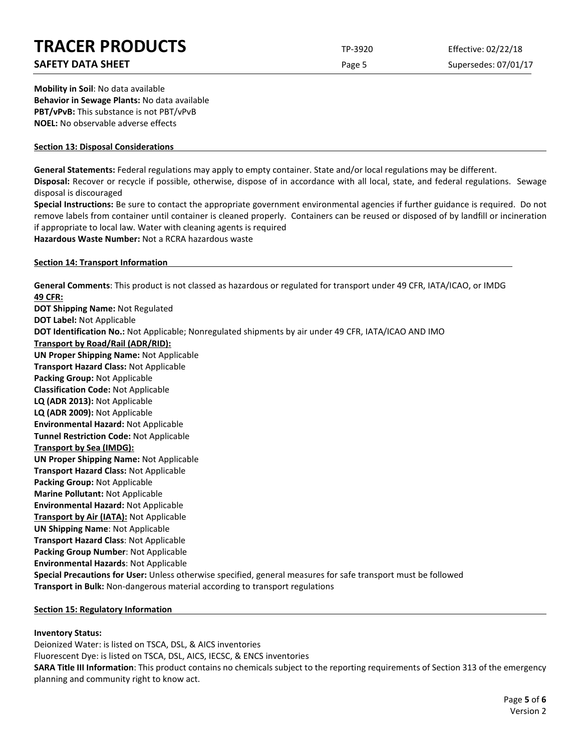# **TRACER PRODUCTS** TP-3920 Effective: 02/22/18

## **SAFETY DATA SHEET** SUPERFOUR CONSUMING THE Page 5 Supersedes: 07/01/17

**Mobility in Soil**: No data available **Behavior in Sewage Plants:** No data available **PBT/vPvB:** This substance is not PBT/vPvB **NOEL:** No observable adverse effects

## **Section 13: Disposal Considerations**

**General Statements:** Federal regulations may apply to empty container. State and/or local regulations may be different.

**Disposal:** Recover or recycle if possible, otherwise, dispose of in accordance with all local, state, and federal regulations. Sewage disposal is discouraged

**Special Instructions:** Be sure to contact the appropriate government environmental agencies if further guidance is required. Do not remove labels from container until container is cleaned properly. Containers can be reused or disposed of by landfill or incineration if appropriate to local law. Water with cleaning agents is required

**Hazardous Waste Number:** Not a RCRA hazardous waste

## **Section 14: Transport Information**

**General Comments**: This product is not classed as hazardous or regulated for transport under 49 CFR, IATA/ICAO, or IMDG **49 CFR: DOT Shipping Name:** Not Regulated **DOT Label:** Not Applicable **DOT Identification No.:** Not Applicable; Nonregulated shipments by air under 49 CFR, IATA/ICAO AND IMO **Transport by Road/Rail (ADR/RID): UN Proper Shipping Name:** Not Applicable **Transport Hazard Class:** Not Applicable **Packing Group:** Not Applicable **Classification Code:** Not Applicable **LQ (ADR 2013):** Not Applicable **LQ (ADR 2009):** Not Applicable **Environmental Hazard:** Not Applicable **Tunnel Restriction Code:** Not Applicable **Transport by Sea (IMDG): UN Proper Shipping Name:** Not Applicable **Transport Hazard Class:** Not Applicable **Packing Group:** Not Applicable **Marine Pollutant:** Not Applicable **Environmental Hazard:** Not Applicable **Transport by Air (IATA):** Not Applicable **UN Shipping Name**: Not Applicable **Transport Hazard Class**: Not Applicable **Packing Group Number**: Not Applicable **Environmental Hazards**: Not Applicable **Special Precautions for User:** Unless otherwise specified, general measures for safe transport must be followed **Transport in Bulk:** Non-dangerous material according to transport regulations

## **Section 15: Regulatory Information**

## **Inventory Status:**

Deionized Water: is listed on TSCA, DSL, & AICS inventories Fluorescent Dye: is listed on TSCA, DSL, AICS, IECSC, & ENCS inventories **SARA Title III Information**: This product contains no chemicals subject to the reporting requirements of Section 313 of the emergency planning and community right to know act.